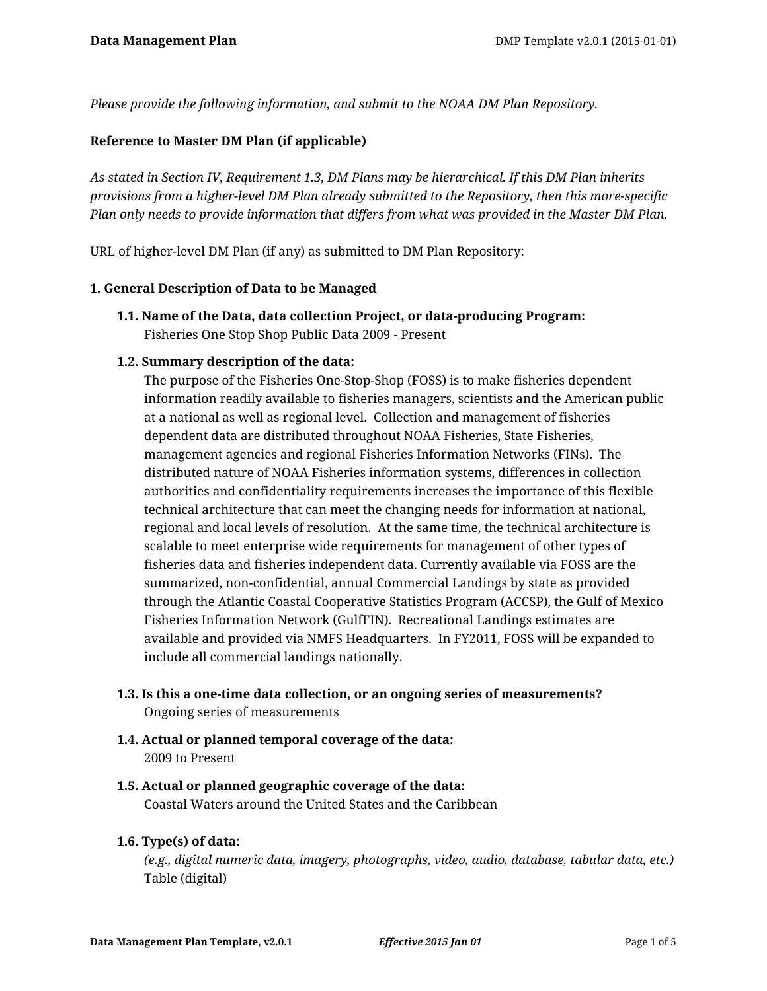*Please provide the following information, and submit to the NOAA DM Plan Repository.*

## **Reference to Master DM Plan (if applicable)**

*As stated in Section IV, Requirement 1.3, DM Plans may be hierarchical. If this DM Plan inherits provisions from a higher-level DM Plan already submitted to the Repository, then this more-specific Plan only needs to provide information that differs from what was provided in the Master DM Plan.*

URL of higher-level DM Plan (if any) as submitted to DM Plan Repository:

#### **1. General Description of Data to be Managed**

**1.1. Name of the Data, data collection Project, or data-producing Program:** Fisheries One Stop Shop Public Data 2009 - Present

## **1.2. Summary description of the data:**

The purpose of the Fisheries One-Stop-Shop (FOSS) is to make fisheries dependent information readily available to fisheries managers, scientists and the American public at a national as well as regional level. Collection and management of fisheries dependent data are distributed throughout NOAA Fisheries, State Fisheries, management agencies and regional Fisheries Information Networks (FINs). The distributed nature of NOAA Fisheries information systems, differences in collection authorities and confidentiality requirements increases the importance of this flexible technical architecture that can meet the changing needs for information at national, regional and local levels of resolution. At the same time, the technical architecture is scalable to meet enterprise wide requirements for management of other types of fisheries data and fisheries independent data. Currently available via FOSS are the summarized, non-confidential, annual Commercial Landings by state as provided through the Atlantic Coastal Cooperative Statistics Program (ACCSP), the Gulf of Mexico Fisheries Information Network (GulfFIN). Recreational Landings estimates are available and provided via NMFS Headquarters. In FY2011, FOSS will be expanded to include all commercial landings nationally.

- **1.3. Is this a one-time data collection, or an ongoing series of measurements?** Ongoing series of measurements
- **1.4. Actual or planned temporal coverage of the data:** 2009 to Present
- **1.5. Actual or planned geographic coverage of the data:** Coastal Waters around the United States and the Caribbean

#### **1.6. Type(s) of data:**

*(e.g., digital numeric data, imagery, photographs, video, audio, database, tabular data, etc.)* Table (digital)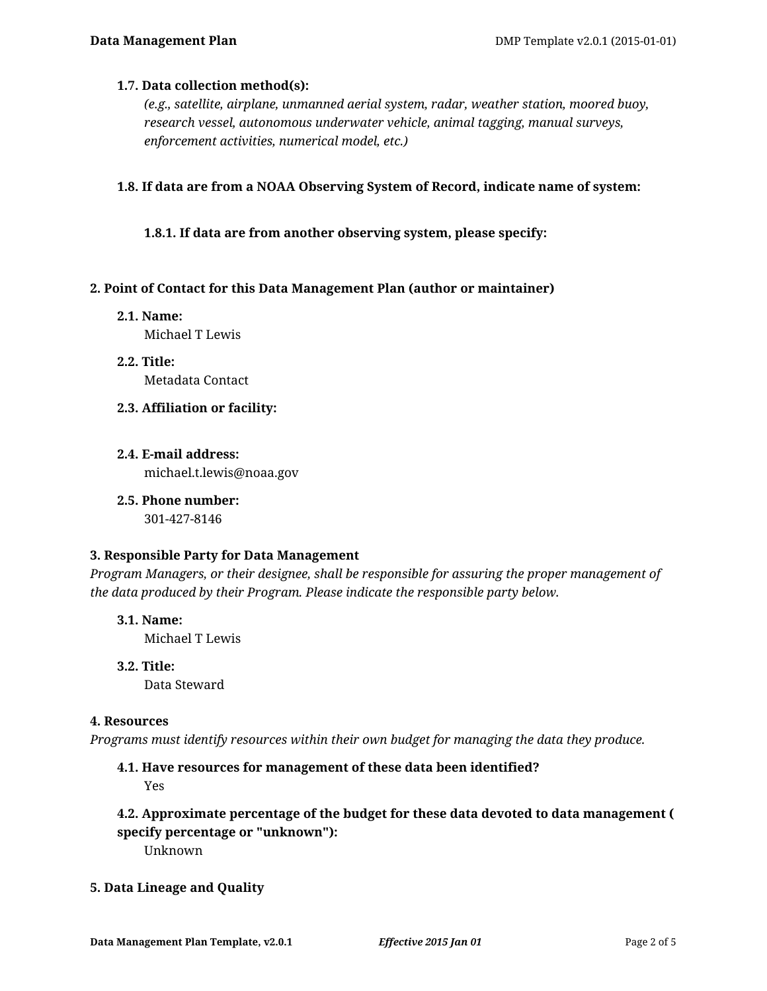## **1.7. Data collection method(s):**

*(e.g., satellite, airplane, unmanned aerial system, radar, weather station, moored buoy, research vessel, autonomous underwater vehicle, animal tagging, manual surveys, enforcement activities, numerical model, etc.)*

**1.8. If data are from a NOAA Observing System of Record, indicate name of system:**

**1.8.1. If data are from another observing system, please specify:**

## **2. Point of Contact for this Data Management Plan (author or maintainer)**

- **2.1. Name:** Michael T Lewis
- **2.2. Title:** Metadata Contact
- **2.3. Affiliation or facility:**
- **2.4. E-mail address:** michael.t.lewis@noaa.gov
- **2.5. Phone number:** 301-427-8146

#### **3. Responsible Party for Data Management**

*Program Managers, or their designee, shall be responsible for assuring the proper management of the data produced by their Program. Please indicate the responsible party below.*

- **3.1. Name:** Michael T Lewis
- **3.2. Title:** Data Steward

#### **4. Resources**

*Programs must identify resources within their own budget for managing the data they produce.*

**4.1. Have resources for management of these data been identified?** Yes

# **4.2. Approximate percentage of the budget for these data devoted to data management ( specify percentage or "unknown"):**

Unknown

## **5. Data Lineage and Quality**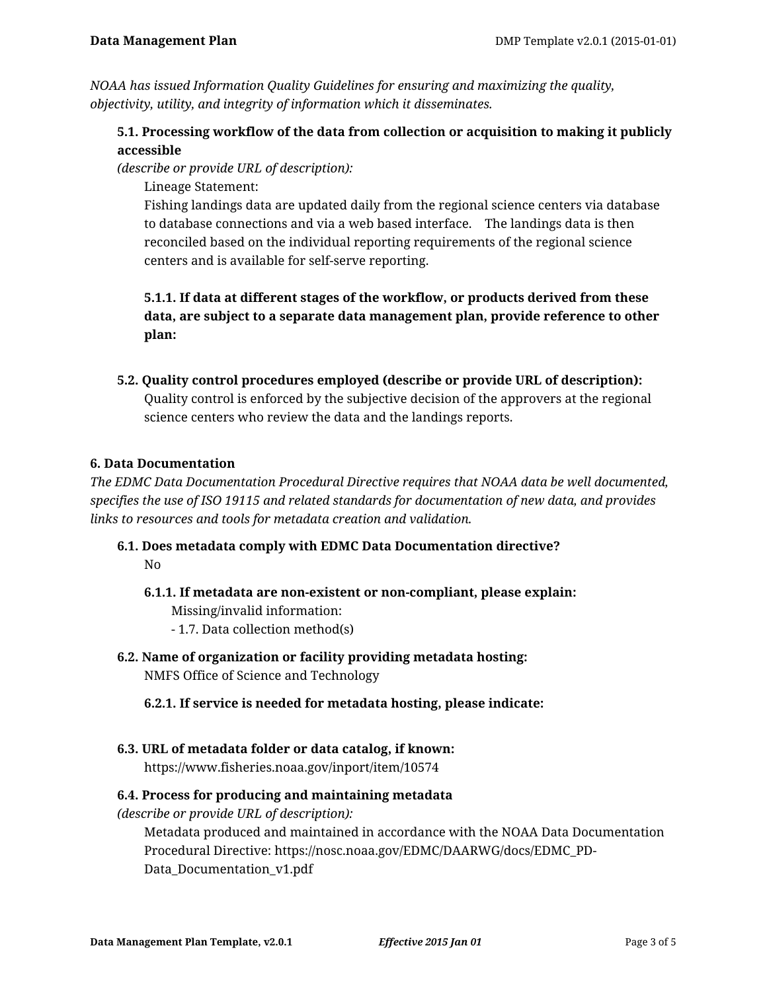*NOAA has issued Information Quality Guidelines for ensuring and maximizing the quality, objectivity, utility, and integrity of information which it disseminates.*

# **5.1. Processing workflow of the data from collection or acquisition to making it publicly accessible**

*(describe or provide URL of description):*

Lineage Statement:

Fishing landings data are updated daily from the regional science centers via database to database connections and via a web based interface. The landings data is then reconciled based on the individual reporting requirements of the regional science centers and is available for self-serve reporting.

**5.1.1. If data at different stages of the workflow, or products derived from these data, are subject to a separate data management plan, provide reference to other plan:**

**5.2. Quality control procedures employed (describe or provide URL of description):** Quality control is enforced by the subjective decision of the approvers at the regional science centers who review the data and the landings reports.

# **6. Data Documentation**

*The EDMC Data Documentation Procedural Directive requires that NOAA data be well documented, specifies the use of ISO 19115 and related standards for documentation of new data, and provides links to resources and tools for metadata creation and validation.*

# **6.1. Does metadata comply with EDMC Data Documentation directive?** No

# **6.1.1. If metadata are non-existent or non-compliant, please explain:**

Missing/invalid information:

- 1.7. Data collection method(s)
- **6.2. Name of organization or facility providing metadata hosting:** NMFS Office of Science and Technology

## **6.2.1. If service is needed for metadata hosting, please indicate:**

**6.3. URL of metadata folder or data catalog, if known:**

https://www.fisheries.noaa.gov/inport/item/10574

## **6.4. Process for producing and maintaining metadata**

*(describe or provide URL of description):*

Metadata produced and maintained in accordance with the NOAA Data Documentation Procedural Directive: https://nosc.noaa.gov/EDMC/DAARWG/docs/EDMC\_PD-Data Documentation v1.pdf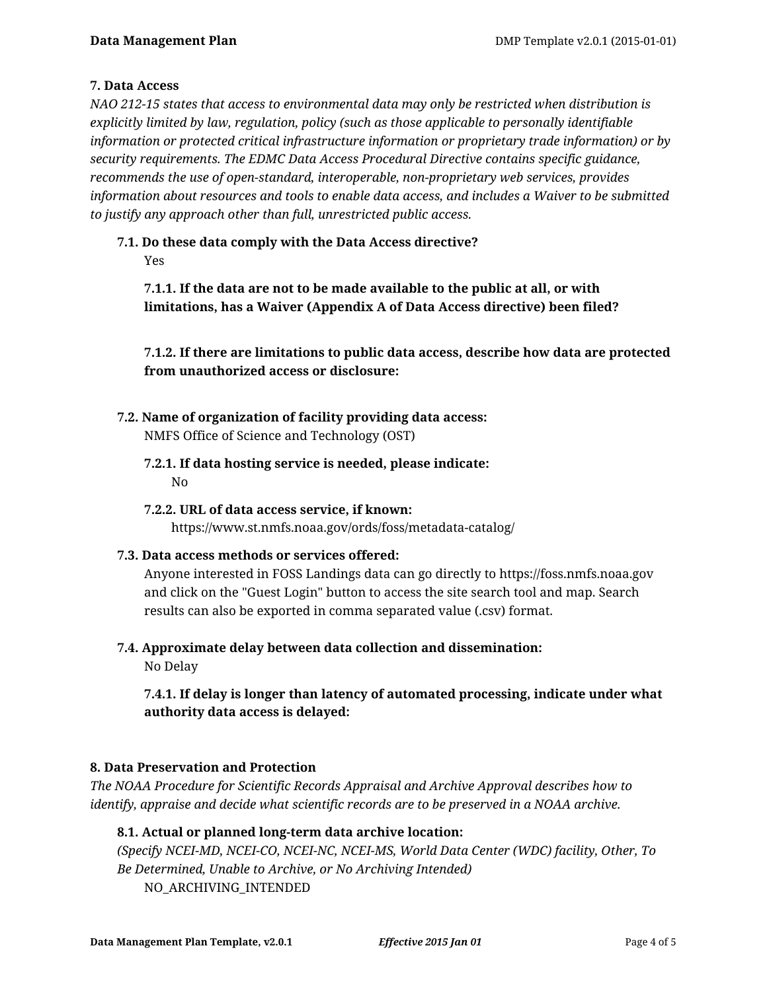## **7. Data Access**

*NAO 212-15 states that access to environmental data may only be restricted when distribution is explicitly limited by law, regulation, policy (such as those applicable to personally identifiable information or protected critical infrastructure information or proprietary trade information) or by security requirements. The EDMC Data Access Procedural Directive contains specific guidance, recommends the use of open-standard, interoperable, non-proprietary web services, provides information about resources and tools to enable data access, and includes a Waiver to be submitted to justify any approach other than full, unrestricted public access.*

# **7.1. Do these data comply with the Data Access directive?**

Yes

**7.1.1. If the data are not to be made available to the public at all, or with limitations, has a Waiver (Appendix A of Data Access directive) been filed?**

**7.1.2. If there are limitations to public data access, describe how data are protected from unauthorized access or disclosure:**

- **7.2. Name of organization of facility providing data access:** NMFS Office of Science and Technology (OST)
	- **7.2.1. If data hosting service is needed, please indicate:** No
	- **7.2.2. URL of data access service, if known:** https://www.st.nmfs.noaa.gov/ords/foss/metadata-catalog/
- **7.3. Data access methods or services offered:**

Anyone interested in FOSS Landings data can go directly to https://foss.nmfs.noaa.gov and click on the "Guest Login" button to access the site search tool and map. Search results can also be exported in comma separated value (.csv) format.

**7.4. Approximate delay between data collection and dissemination:**

No Delay

**7.4.1. If delay is longer than latency of automated processing, indicate under what authority data access is delayed:**

# **8. Data Preservation and Protection**

*The NOAA Procedure for Scientific Records Appraisal and Archive Approval describes how to identify, appraise and decide what scientific records are to be preserved in a NOAA archive.*

# **8.1. Actual or planned long-term data archive location:**

*(Specify NCEI-MD, NCEI-CO, NCEI-NC, NCEI-MS, World Data Center (WDC) facility, Other, To Be Determined, Unable to Archive, or No Archiving Intended)* NO\_ARCHIVING\_INTENDED